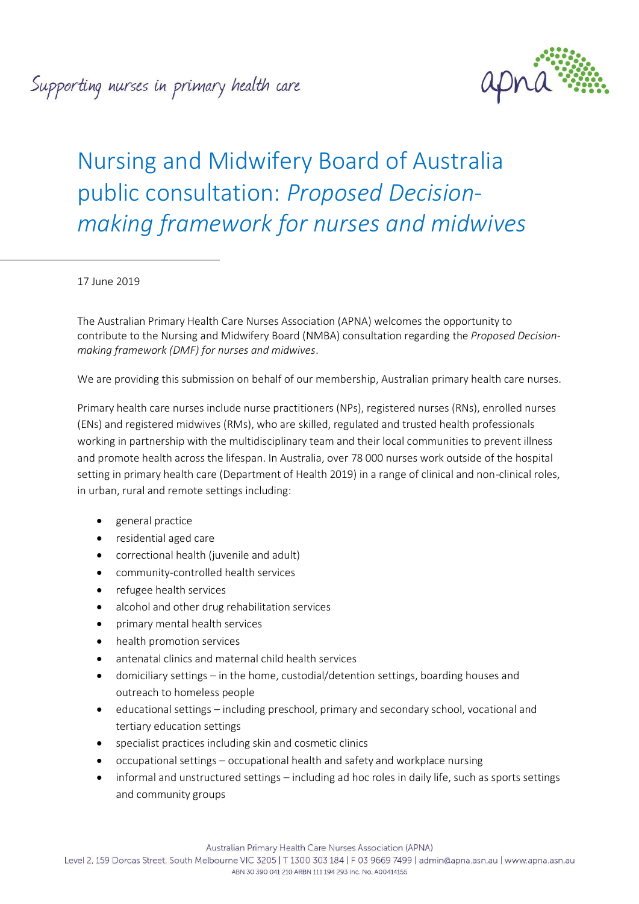Supporting nurses in primary health care



# Nursing and Midwifery Board of Australia public consultation: *Proposed Decisionmaking framework for nurses and midwives*

17 June 2019

The Australian Primary Health Care Nurses Association (APNA) welcomes the opportunity to contribute to the Nursing and Midwifery Board (NMBA) consultation regarding the *Proposed Decisionmaking framework (DMF) for nurses and midwives*.

We are providing this submission on behalf of our membership, Australian primary health care nurses.

Primary health care nurses include nurse practitioners (NPs), registered nurses (RNs), enrolled nurses (ENs) and registered midwives (RMs), who are skilled, regulated and trusted health professionals working in partnership with the multidisciplinary team and their local communities to prevent illness and promote health across the lifespan. In Australia, over 78 000 nurses work outside of the hospital setting in primary health care (Department of Health 2019) in a range of clinical and non-clinical roles, in urban, rural and remote settings including:

- general practice
- residential aged care
- correctional health (juvenile and adult)
- community-controlled health services
- refugee health services
- alcohol and other drug rehabilitation services
- primary mental health services
- health promotion services
- antenatal clinics and maternal child health services
- domiciliary settings in the home, custodial/detention settings, boarding houses and outreach to homeless people
- educational settings including preschool, primary and secondary school, vocational and tertiary education settings
- specialist practices including skin and cosmetic clinics
- occupational settings occupational health and safety and workplace nursing
- informal and unstructured settings including ad hoc roles in daily life, such as sports settings and community groups

Australian Primary Health Care Nurses Association (APNA)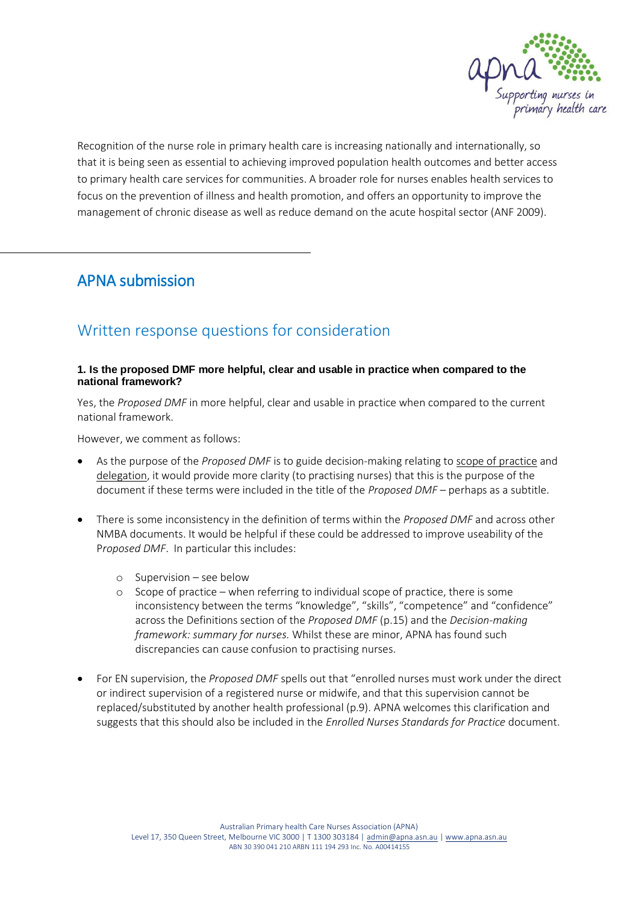

Recognition of the nurse role in primary health care is increasing nationally and internationally, so that it is being seen as essential to achieving improved population health outcomes and better access to primary health care services for communities. A broader role for nurses enables health services to focus on the prevention of illness and health promotion, and offers an opportunity to improve the management of chronic disease as well as reduce demand on the acute hospital sector (ANF 2009).

## APNA submission

# Written response questions for consideration

#### **1. Is the proposed DMF more helpful, clear and usable in practice when compared to the national framework?**

Yes, the *Proposed DMF* in more helpful, clear and usable in practice when compared to the current national framework.

However, we comment as follows:

- As the purpose of the *Proposed DMF* is to guide decision-making relating to scope of practice and delegation, it would provide more clarity (to practising nurses) that this is the purpose of the document if these terms were included in the title of the *Proposed DMF* – perhaps as a subtitle.
- There is some inconsistency in the definition of terms within the *Proposed DMF* and across other NMBA documents. It would be helpful if these could be addressed to improve useability of the P*roposed DMF*. In particular this includes:
	- o Supervision see below
	- o Scope of practice when referring to individual scope of practice, there is some inconsistency between the terms "knowledge", "skills", "competence" and "confidence" across the Definitions section of the *Proposed DMF* (p.15) and the *Decision-making framework: summary for nurses.* Whilst these are minor, APNA has found such discrepancies can cause confusion to practising nurses.
- For EN supervision, the *Proposed DMF* spells out that "enrolled nurses must work under the direct or indirect supervision of a registered nurse or midwife, and that this supervision cannot be replaced/substituted by another health professional (p.9). APNA welcomes this clarification and suggests that this should also be included in the *Enrolled Nurses Standards for Practice* document.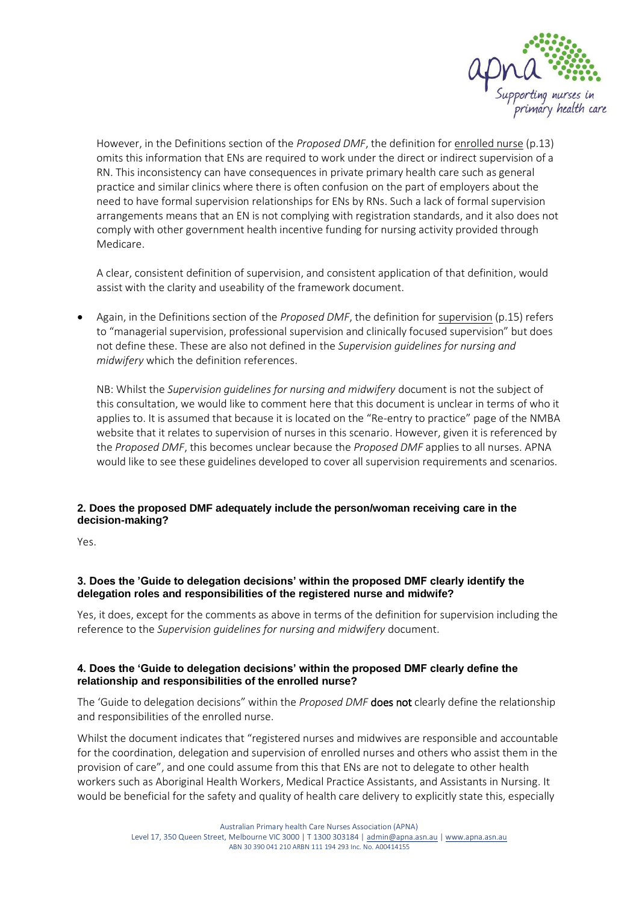

However, in the Definitions section of the *Proposed DMF*, the definition for enrolled nurse (p.13) omits this information that ENs are required to work under the direct or indirect supervision of a RN. This inconsistency can have consequences in private primary health care such as general practice and similar clinics where there is often confusion on the part of employers about the need to have formal supervision relationships for ENs by RNs. Such a lack of formal supervision arrangements means that an EN is not complying with registration standards, and it also does not comply with other government health incentive funding for nursing activity provided through Medicare.

A clear, consistent definition of supervision, and consistent application of that definition, would assist with the clarity and useability of the framework document.

 Again, in the Definitions section of the *Proposed DMF*, the definition for supervision (p.15) refers to "managerial supervision, professional supervision and clinically focused supervision" but does not define these. These are also not defined in the *Supervision guidelines for nursing and midwifery* which the definition references.

NB: Whilst the *Supervision guidelines for nursing and midwifery* document is not the subject of this consultation, we would like to comment here that this document is unclear in terms of who it applies to. It is assumed that because it is located on the "Re-entry to practice" page of the NMBA website that it relates to supervision of nurses in this scenario. However, given it is referenced by the *Proposed DMF*, this becomes unclear because the *Proposed DMF* applies to all nurses. APNA would like to see these guidelines developed to cover all supervision requirements and scenarios.

## **2. Does the proposed DMF adequately include the person/woman receiving care in the decision-making?**

Yes.

#### **3. Does the 'Guide to delegation decisions' within the proposed DMF clearly identify the delegation roles and responsibilities of the registered nurse and midwife?**

Yes, it does, except for the comments as above in terms of the definition for supervision including the reference to the *Supervision guidelines for nursing and midwifery* document.

#### **4. Does the 'Guide to delegation decisions' within the proposed DMF clearly define the relationship and responsibilities of the enrolled nurse?**

The 'Guide to delegation decisions" within the *Proposed DMF* does not clearly define the relationship and responsibilities of the enrolled nurse.

Whilst the document indicates that "registered nurses and midwives are responsible and accountable for the coordination, delegation and supervision of enrolled nurses and others who assist them in the provision of care", and one could assume from this that ENs are not to delegate to other health workers such as Aboriginal Health Workers, Medical Practice Assistants, and Assistants in Nursing. It would be beneficial for the safety and quality of health care delivery to explicitly state this, especially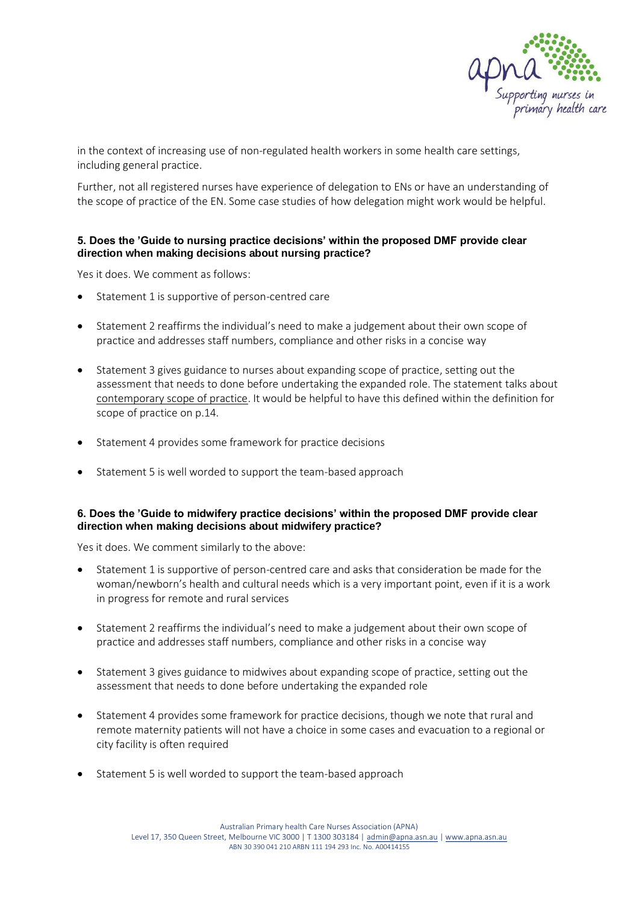

in the context of increasing use of non-regulated health workers in some health care settings, including general practice.

Further, not all registered nurses have experience of delegation to ENs or have an understanding of the scope of practice of the EN. Some case studies of how delegation might work would be helpful.

#### **5. Does the 'Guide to nursing practice decisions' within the proposed DMF provide clear direction when making decisions about nursing practice?**

Yes it does. We comment as follows:

- Statement 1 is supportive of person-centred care
- Statement 2 reaffirms the individual's need to make a judgement about their own scope of practice and addresses staff numbers, compliance and other risks in a concise way
- Statement 3 gives guidance to nurses about expanding scope of practice, setting out the assessment that needs to done before undertaking the expanded role. The statement talks about contemporary scope of practice. It would be helpful to have this defined within the definition for scope of practice on p.14.
- Statement 4 provides some framework for practice decisions
- Statement 5 is well worded to support the team-based approach

#### **6. Does the 'Guide to midwifery practice decisions' within the proposed DMF provide clear direction when making decisions about midwifery practice?**

Yes it does. We comment similarly to the above:

- Statement 1 is supportive of person-centred care and asks that consideration be made for the woman/newborn's health and cultural needs which is a very important point, even if it is a work in progress for remote and rural services
- Statement 2 reaffirms the individual's need to make a judgement about their own scope of practice and addresses staff numbers, compliance and other risks in a concise way
- Statement 3 gives guidance to midwives about expanding scope of practice, setting out the assessment that needs to done before undertaking the expanded role
- Statement 4 provides some framework for practice decisions, though we note that rural and remote maternity patients will not have a choice in some cases and evacuation to a regional or city facility is often required
- Statement 5 is well worded to support the team-based approach